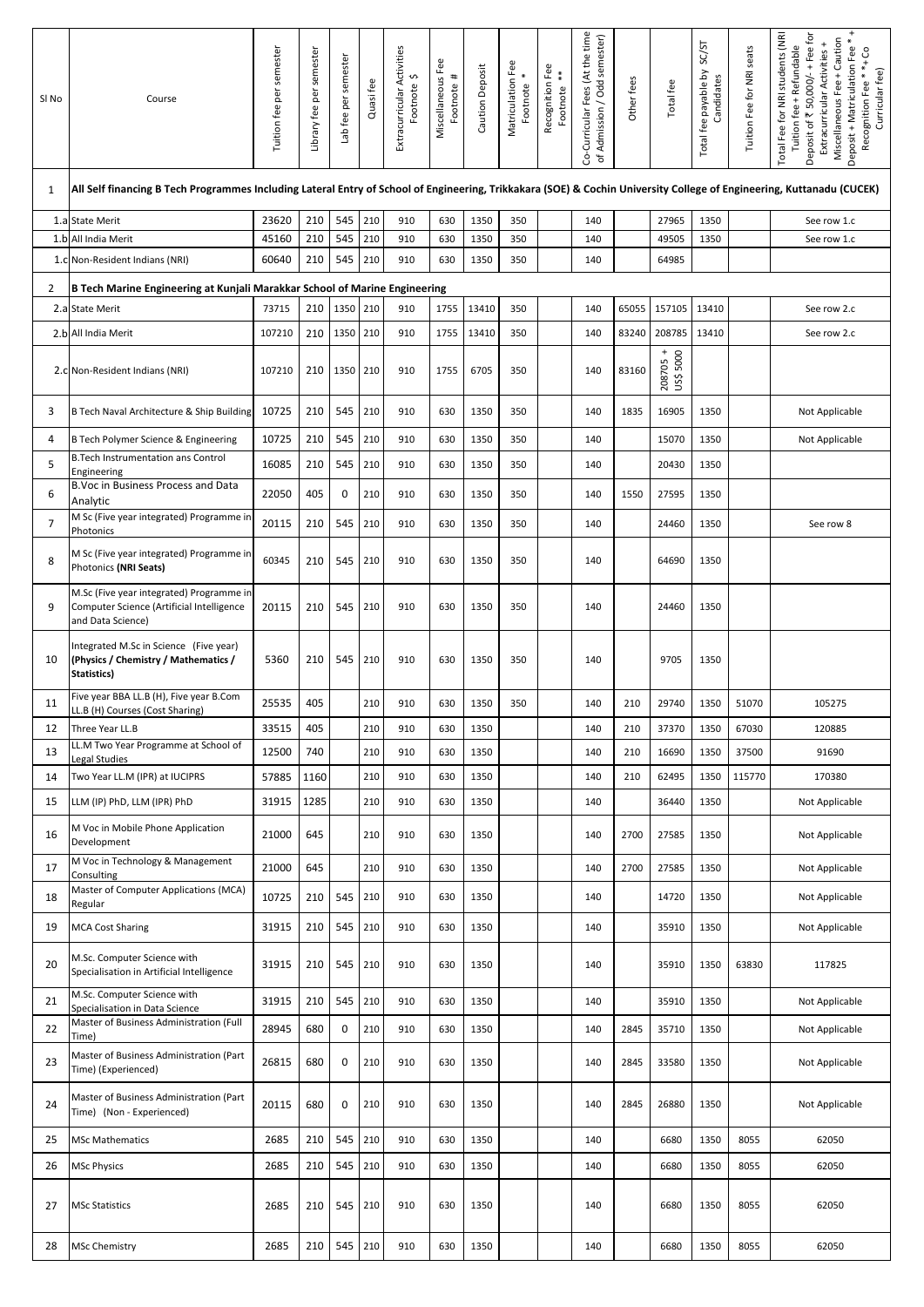| SI No | Course                                                                                                                                                                | Tuition fee per semester | semester<br>Library fee per | Lab fee per semester | Quasi fee | Extracurricular Activities<br>᠊ᡐ<br>Footnote | Miscellaneous Fee<br>$\pmb{\ast}$<br>Footnote | Caution Deposit | Matriculation Fee<br>Footnote | Recognition Fee<br>$\stackrel{*}{*}$<br>Footnote | Co-Curricular Fees (At the time<br>Admission / Odd semester)<br>$\mathcal{P}^{\mathcal{L}}$ | Other fees | Total fee             | SC/ST<br>Total fee payable by<br>Candidates | Tuition Fee for NRI seats | ÷<br><b>Total Fee for NRI students (NRI</b><br>Deposit of ₹ 50,000/- + Fee for<br>Miscellaneous Fee + Caution<br>$\ast$<br>Tuition fee + Refundable<br>Deposit + Matriculation Fee<br>Recognition Fee * * + Co<br>Extracurricular Activities<br>Curricular fee) |
|-------|-----------------------------------------------------------------------------------------------------------------------------------------------------------------------|--------------------------|-----------------------------|----------------------|-----------|----------------------------------------------|-----------------------------------------------|-----------------|-------------------------------|--------------------------------------------------|---------------------------------------------------------------------------------------------|------------|-----------------------|---------------------------------------------|---------------------------|-----------------------------------------------------------------------------------------------------------------------------------------------------------------------------------------------------------------------------------------------------------------|
| 1     | All Self financing B Tech Programmes Including Lateral Entry of School of Engineering, Trikkakara (SOE) & Cochin University College of Engineering, Kuttanadu (CUCEK) |                          |                             |                      |           |                                              |                                               |                 |                               |                                                  |                                                                                             |            |                       |                                             |                           |                                                                                                                                                                                                                                                                 |
|       | 1.a State Merit                                                                                                                                                       | 23620                    | 210                         | 545                  | 210       | 910                                          | 630                                           | 1350            | 350                           |                                                  | 140                                                                                         |            | 27965                 | 1350                                        |                           | See row 1.c                                                                                                                                                                                                                                                     |
|       | 1.b All India Merit                                                                                                                                                   | 45160                    | 210                         | 545                  | 210       | 910                                          | 630                                           | 1350            | 350                           |                                                  | 140                                                                                         |            | 49505                 | 1350                                        |                           | See row 1.c                                                                                                                                                                                                                                                     |
|       | 1.c Non-Resident Indians (NRI)                                                                                                                                        | 60640                    | 210                         | 545                  | 210       | 910                                          | 630                                           | 1350            | 350                           |                                                  | 140                                                                                         |            | 64985                 |                                             |                           |                                                                                                                                                                                                                                                                 |
| 2     | B Tech Marine Engineering at Kunjali Marakkar School of Marine Engineering                                                                                            |                          |                             |                      |           |                                              |                                               |                 |                               |                                                  |                                                                                             |            |                       |                                             |                           |                                                                                                                                                                                                                                                                 |
|       | 2.a State Merit                                                                                                                                                       | 73715                    |                             | 210 1350 210         |           | 910                                          | 1755                                          | 13410           | 350                           |                                                  | 140                                                                                         | 65055      | 157105                | 13410                                       |                           | See row 2.c                                                                                                                                                                                                                                                     |
|       | 2.b All India Merit                                                                                                                                                   | 107210                   |                             | 210 1350 210         |           | 910                                          | 1755                                          | 13410           | 350                           |                                                  | 140                                                                                         | 83240      | 208785                | 13410                                       |                           | See row 2.c                                                                                                                                                                                                                                                     |
|       | 2.c Non-Resident Indians (NRI)                                                                                                                                        | 107210                   |                             | 210 1350 210         |           | 910                                          | 1755                                          | 6705            | 350                           |                                                  | 140                                                                                         | 83160      | 208705 +<br>US\$ 5000 |                                             |                           |                                                                                                                                                                                                                                                                 |
| 3     | B Tech Naval Architecture & Ship Building                                                                                                                             | 10725                    | 210                         | 545                  | 210       | 910                                          | 630                                           | 1350            | 350                           |                                                  | 140                                                                                         | 1835       | 16905                 | 1350                                        |                           | Not Applicable                                                                                                                                                                                                                                                  |
| 4     | B Tech Polymer Science & Engineering                                                                                                                                  | 10725                    | 210                         | 545                  | 210       | 910                                          | 630                                           | 1350            | 350                           |                                                  | 140                                                                                         |            | 15070                 | 1350                                        |                           | Not Applicable                                                                                                                                                                                                                                                  |
| 5     | <b>B.Tech Instrumentation ans Control</b><br>Engineering                                                                                                              | 16085                    | 210                         | 545                  | 210       | 910                                          | 630                                           | 1350            | 350                           |                                                  | 140                                                                                         |            | 20430                 | 1350                                        |                           |                                                                                                                                                                                                                                                                 |
| 6     | <b>B.Voc in Business Process and Data</b>                                                                                                                             | 22050                    | 405                         | 0                    | 210       | 910                                          | 630                                           | 1350            | 350                           |                                                  | 140                                                                                         | 1550       | 27595                 | 1350                                        |                           |                                                                                                                                                                                                                                                                 |
|       | Analytic<br>M Sc (Five year integrated) Programme in                                                                                                                  |                          |                             |                      |           |                                              |                                               |                 |                               |                                                  |                                                                                             |            |                       |                                             |                           |                                                                                                                                                                                                                                                                 |
|       | Photonics<br>M Sc (Five year integrated) Programme in                                                                                                                 | 20115                    | 210                         | 545 210              |           | 910                                          | 630                                           | 1350            | 350                           |                                                  | 140                                                                                         |            | 24460                 | 1350                                        |                           | See row 8                                                                                                                                                                                                                                                       |
| 8     | Photonics (NRI Seats)                                                                                                                                                 | 60345                    | 210                         | 545                  | 210       | 910                                          | 630                                           | 1350            | 350                           |                                                  | 140                                                                                         |            | 64690                 | 1350                                        |                           |                                                                                                                                                                                                                                                                 |
| 9     | M.Sc (Five year integrated) Programme in<br>Computer Science (Artificial Intelligence<br>and Data Science)                                                            | 20115                    | 210                         | 545                  | 210       | 910                                          | 630                                           | 1350            | 350                           |                                                  | 140                                                                                         |            | 24460                 | 1350                                        |                           |                                                                                                                                                                                                                                                                 |
| 10    | Integrated M.Sc in Science (Five year)<br>(Physics / Chemistry / Mathematics /<br>Statistics)                                                                         | 5360                     | 210                         | 545                  | 210       | 910                                          | 630                                           | 1350            | 350                           |                                                  | 140                                                                                         |            | 9705                  | 1350                                        |                           |                                                                                                                                                                                                                                                                 |
| 11    | Five year BBA LL.B (H), Five year B.Com<br>LL.B (H) Courses (Cost Sharing)                                                                                            | 25535                    | 405                         |                      | 210       | 910                                          | 630                                           | 1350            | 350                           |                                                  | 140                                                                                         | 210        | 29740                 | 1350                                        | 51070                     | 105275                                                                                                                                                                                                                                                          |
| 12    | Three Year LL.B                                                                                                                                                       | 33515                    | 405                         |                      | 210       | 910                                          | 630                                           | 1350            |                               |                                                  | 140                                                                                         | 210        | 37370                 | 1350                                        | 67030                     | 120885                                                                                                                                                                                                                                                          |
| 13    | LL.M Two Year Programme at School of<br>Legal Studies                                                                                                                 | 12500                    | 740                         |                      | 210       | 910                                          | 630                                           | 1350            |                               |                                                  | 140                                                                                         | 210        | 16690                 | 1350                                        | 37500                     | 91690                                                                                                                                                                                                                                                           |
| 14    | Two Year LL.M (IPR) at IUCIPRS                                                                                                                                        | 57885                    | 1160                        |                      | 210       | 910                                          | 630                                           | 1350            |                               |                                                  | 140                                                                                         | 210        | 62495                 | 1350                                        | 115770                    | 170380                                                                                                                                                                                                                                                          |
| 15    | LLM (IP) PhD, LLM (IPR) PhD                                                                                                                                           | 31915                    | 1285                        |                      | 210       | 910                                          | 630                                           | 1350            |                               |                                                  | 140                                                                                         |            | 36440                 | 1350                                        |                           | Not Applicable                                                                                                                                                                                                                                                  |
| 16    | M Voc in Mobile Phone Application<br>Development                                                                                                                      | 21000                    | 645                         |                      | 210       | 910                                          | 630                                           | 1350            |                               |                                                  | 140                                                                                         | 2700       | 27585                 | 1350                                        |                           | Not Applicable                                                                                                                                                                                                                                                  |
| 17    | M Voc in Technology & Management                                                                                                                                      | 21000                    | 645                         |                      | 210       | 910                                          | 630                                           | 1350            |                               |                                                  | 140                                                                                         | 2700       | 27585                 | 1350                                        |                           | Not Applicable                                                                                                                                                                                                                                                  |
| 18    | Consulting<br>Master of Computer Applications (MCA)                                                                                                                   | 10725                    | 210                         | 545                  | 210       | 910                                          | 630                                           | 1350            |                               |                                                  | 140                                                                                         |            | 14720                 | 1350                                        |                           | Not Applicable                                                                                                                                                                                                                                                  |
|       | Regular                                                                                                                                                               |                          |                             |                      |           |                                              |                                               |                 |                               |                                                  |                                                                                             |            |                       |                                             |                           |                                                                                                                                                                                                                                                                 |
| 19    | <b>MCA Cost Sharing</b>                                                                                                                                               | 31915                    | 210                         | 545                  | 210       | 910                                          | 630                                           | 1350            |                               |                                                  | 140                                                                                         |            | 35910                 | 1350                                        |                           | Not Applicable                                                                                                                                                                                                                                                  |
| 20    | M.Sc. Computer Science with<br>Specialisation in Artificial Intelligence                                                                                              | 31915                    | 210                         | 545                  | 210       | 910                                          | 630                                           | 1350            |                               |                                                  | 140                                                                                         |            | 35910                 | 1350                                        | 63830                     | 117825                                                                                                                                                                                                                                                          |
| 21    | M.Sc. Computer Science with<br>Specialisation in Data Science                                                                                                         | 31915                    | 210                         | 545 210              |           | 910                                          | 630                                           | 1350            |                               |                                                  | 140                                                                                         |            | 35910                 | 1350                                        |                           | Not Applicable                                                                                                                                                                                                                                                  |
| 22    | Master of Business Administration (Full<br>Time)                                                                                                                      | 28945                    | 680                         | 0                    | 210       | 910                                          | 630                                           | 1350            |                               |                                                  | 140                                                                                         | 2845       | 35710                 | 1350                                        |                           | Not Applicable                                                                                                                                                                                                                                                  |
| 23    | Master of Business Administration (Part<br>Time) (Experienced)                                                                                                        | 26815                    | 680                         | 0                    | 210       | 910                                          | 630                                           | 1350            |                               |                                                  | 140                                                                                         | 2845       | 33580                 | 1350                                        |                           | Not Applicable                                                                                                                                                                                                                                                  |
| 24    | Master of Business Administration (Part<br>Time) (Non - Experienced)                                                                                                  | 20115                    | 680                         | 0                    | 210       | 910                                          | 630                                           | 1350            |                               |                                                  | 140                                                                                         | 2845       | 26880                 | 1350                                        |                           | Not Applicable                                                                                                                                                                                                                                                  |
| 25    | <b>MSc Mathematics</b>                                                                                                                                                | 2685                     | 210                         | 545                  | 210       | 910                                          | 630                                           | 1350            |                               |                                                  | 140                                                                                         |            | 6680                  | 1350                                        | 8055                      | 62050                                                                                                                                                                                                                                                           |
| 26    | <b>MSc Physics</b>                                                                                                                                                    | 2685                     | 210                         | 545                  | 210       | 910                                          | 630                                           | 1350            |                               |                                                  | 140                                                                                         |            | 6680                  | 1350                                        | 8055                      | 62050                                                                                                                                                                                                                                                           |
| 27    | <b>MSc Statistics</b>                                                                                                                                                 | 2685                     | 210                         | 545 210              |           | 910                                          | 630                                           | 1350            |                               |                                                  | 140                                                                                         |            | 6680                  | 1350                                        | 8055                      | 62050                                                                                                                                                                                                                                                           |
| 28    | <b>MSc Chemistry</b>                                                                                                                                                  | 2685                     | 210                         | 545                  | 210       | 910                                          | 630                                           | 1350            |                               |                                                  | 140                                                                                         |            | 6680                  | 1350                                        | 8055                      | 62050                                                                                                                                                                                                                                                           |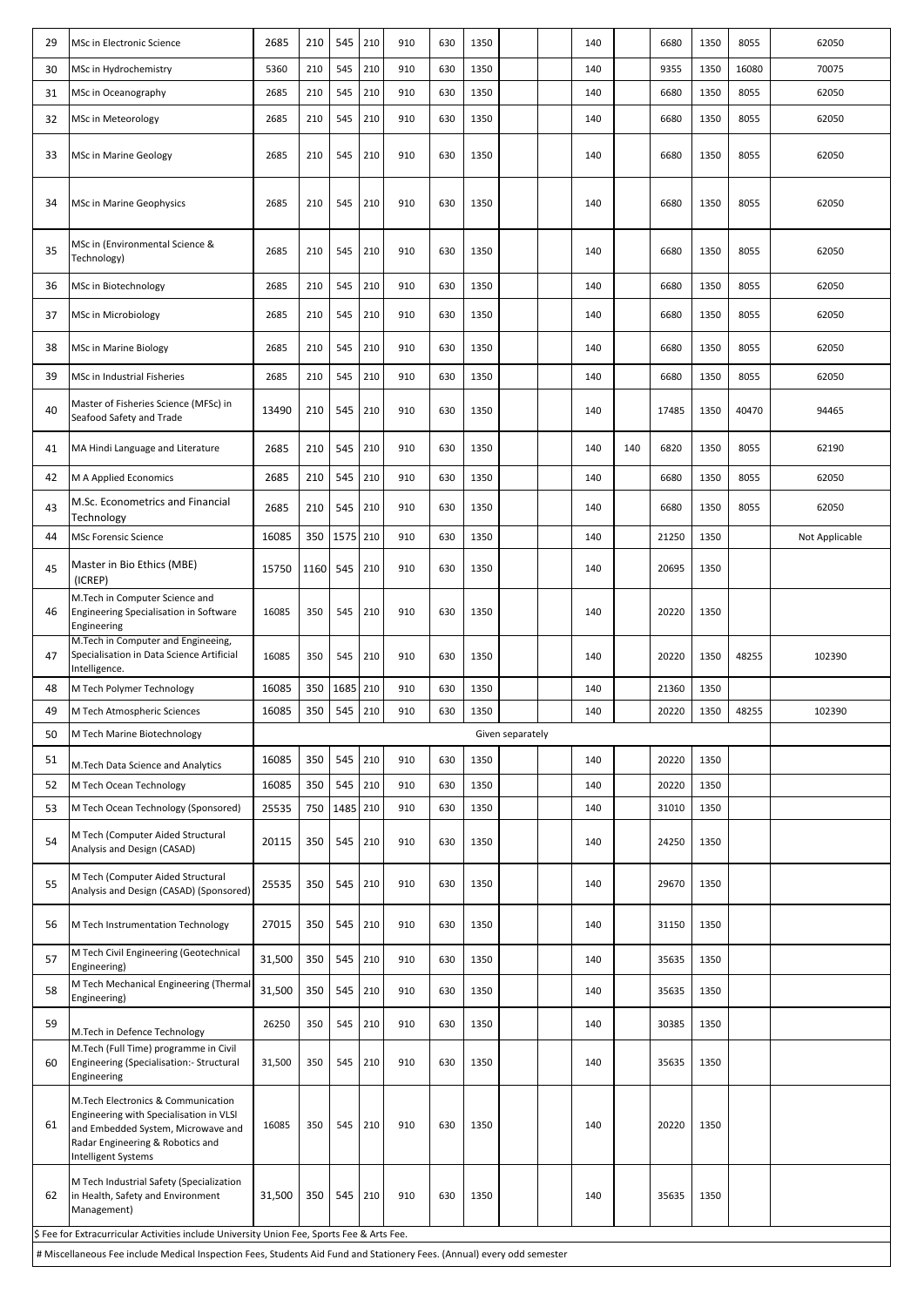| 29 | <b>MSc in Electronic Science</b>                                                                                                                                               | 2685   | 210  | 545       | 210 | 910 | 630 | 1350 |                  |  | 140 |     | 6680  | 1350 | 8055  | 62050          |
|----|--------------------------------------------------------------------------------------------------------------------------------------------------------------------------------|--------|------|-----------|-----|-----|-----|------|------------------|--|-----|-----|-------|------|-------|----------------|
| 30 | MSc in Hydrochemistry                                                                                                                                                          | 5360   | 210  | 545       | 210 | 910 | 630 | 1350 |                  |  | 140 |     | 9355  | 1350 | 16080 | 70075          |
| 31 | MSc in Oceanography                                                                                                                                                            | 2685   | 210  | 545       | 210 | 910 | 630 | 1350 |                  |  | 140 |     | 6680  | 1350 | 8055  | 62050          |
| 32 | MSc in Meteorology                                                                                                                                                             | 2685   | 210  | 545       | 210 | 910 | 630 | 1350 |                  |  | 140 |     | 6680  | 1350 | 8055  | 62050          |
| 33 | <b>MSc in Marine Geology</b>                                                                                                                                                   | 2685   | 210  | 545       | 210 | 910 | 630 | 1350 |                  |  | 140 |     | 6680  | 1350 | 8055  | 62050          |
| 34 | <b>MSc in Marine Geophysics</b>                                                                                                                                                | 2685   | 210  | 545       | 210 | 910 | 630 | 1350 |                  |  | 140 |     | 6680  | 1350 | 8055  | 62050          |
| 35 | MSc in (Environmental Science &<br>Technology)                                                                                                                                 | 2685   | 210  | 545       | 210 | 910 | 630 | 1350 |                  |  | 140 |     | 6680  | 1350 | 8055  | 62050          |
| 36 | MSc in Biotechnology                                                                                                                                                           | 2685   | 210  | 545       | 210 | 910 | 630 | 1350 |                  |  | 140 |     | 6680  | 1350 | 8055  | 62050          |
| 37 | MSc in Microbiology                                                                                                                                                            | 2685   | 210  | 545       | 210 | 910 | 630 | 1350 |                  |  | 140 |     | 6680  | 1350 | 8055  | 62050          |
| 38 | <b>MSc in Marine Biology</b>                                                                                                                                                   | 2685   | 210  | 545       | 210 | 910 | 630 | 1350 |                  |  | 140 |     | 6680  | 1350 | 8055  | 62050          |
| 39 | MSc in Industrial Fisheries                                                                                                                                                    | 2685   | 210  | 545       | 210 | 910 | 630 | 1350 |                  |  | 140 |     | 6680  | 1350 | 8055  | 62050          |
| 40 | Master of Fisheries Science (MFSc) in<br>Seafood Safety and Trade                                                                                                              | 13490  | 210  | 545       | 210 | 910 | 630 | 1350 |                  |  | 140 |     | 17485 | 1350 | 40470 | 94465          |
| 41 | MA Hindi Language and Literature                                                                                                                                               | 2685   | 210  | 545       | 210 | 910 | 630 | 1350 |                  |  | 140 | 140 | 6820  | 1350 | 8055  | 62190          |
| 42 | M A Applied Economics                                                                                                                                                          | 2685   | 210  | 545       | 210 | 910 | 630 | 1350 |                  |  | 140 |     | 6680  | 1350 | 8055  | 62050          |
| 43 | M.Sc. Econometrics and Financial<br>Technology                                                                                                                                 | 2685   | 210  | 545       | 210 | 910 | 630 | 1350 |                  |  | 140 |     | 6680  | 1350 | 8055  | 62050          |
| 44 | <b>MSc Forensic Science</b>                                                                                                                                                    | 16085  | 350  | 1575 210  |     | 910 | 630 | 1350 |                  |  | 140 |     | 21250 | 1350 |       | Not Applicable |
| 45 | Master in Bio Ethics (MBE)<br>(ICREP)                                                                                                                                          | 15750  | 1160 | $545$ 210 |     | 910 | 630 | 1350 |                  |  | 140 |     | 20695 | 1350 |       |                |
| 46 | M.Tech in Computer Science and<br>Engineering Specialisation in Software<br>Engineering                                                                                        | 16085  | 350  | 545       | 210 | 910 | 630 | 1350 |                  |  | 140 |     | 20220 | 1350 |       |                |
| 47 | M.Tech in Computer and Engineeing,<br>Specialisation in Data Science Artificial<br>Intelligence.                                                                               | 16085  | 350  | 545       | 210 | 910 | 630 | 1350 |                  |  | 140 |     | 20220 | 1350 | 48255 | 102390         |
| 48 | M Tech Polymer Technology                                                                                                                                                      | 16085  | 350  | 1685 210  |     | 910 | 630 | 1350 |                  |  | 140 |     | 21360 | 1350 |       |                |
| 49 | M Tech Atmospheric Sciences                                                                                                                                                    | 16085  | 350  | 545 210   |     | 910 | 630 | 1350 |                  |  | 140 |     | 20220 | 1350 | 48255 | 102390         |
| 50 | M Tech Marine Biotechnology                                                                                                                                                    |        |      |           |     |     |     |      | Given separately |  |     |     |       |      |       |                |
| 51 | M.Tech Data Science and Analytics                                                                                                                                              | 16085  | 350  | 545       | 210 | 910 | 630 | 1350 |                  |  | 140 |     | 20220 | 1350 |       |                |
| 52 | M Tech Ocean Technology                                                                                                                                                        | 16085  | 350  | 545       | 210 | 910 | 630 | 1350 |                  |  | 140 |     | 20220 | 1350 |       |                |
| 53 | M Tech Ocean Technology (Sponsored)                                                                                                                                            | 25535  | 750  | 1485 210  |     | 910 | 630 | 1350 |                  |  | 140 |     | 31010 | 1350 |       |                |
| 54 | M Tech (Computer Aided Structural<br>Analysis and Design (CASAD)                                                                                                               | 20115  | 350  | 545 210   |     | 910 | 630 | 1350 |                  |  | 140 |     | 24250 | 1350 |       |                |
| 55 | M Tech (Computer Aided Structural<br>Analysis and Design (CASAD) (Sponsored)                                                                                                   | 25535  | 350  | 545       | 210 | 910 | 630 | 1350 |                  |  | 140 |     | 29670 | 1350 |       |                |
| 56 | M Tech Instrumentation Technology                                                                                                                                              | 27015  | 350  | 545       | 210 | 910 | 630 | 1350 |                  |  | 140 |     | 31150 | 1350 |       |                |
| 57 | M Tech Civil Engineering (Geotechnical<br>Engineering)                                                                                                                         | 31,500 | 350  | 545       | 210 | 910 | 630 | 1350 |                  |  | 140 |     | 35635 | 1350 |       |                |
| 58 | M Tech Mechanical Engineering (Thermal<br>Engineering)                                                                                                                         | 31,500 | 350  | 545       | 210 | 910 | 630 | 1350 |                  |  | 140 |     | 35635 | 1350 |       |                |
| 59 | M.Tech in Defence Technology                                                                                                                                                   | 26250  | 350  | 545       | 210 | 910 | 630 | 1350 |                  |  | 140 |     | 30385 | 1350 |       |                |
| 60 | M.Tech (Full Time) programme in Civil<br>Engineering (Specialisation:- Structural<br>Engineering                                                                               | 31,500 | 350  | 545       | 210 | 910 | 630 | 1350 |                  |  | 140 |     | 35635 | 1350 |       |                |
| 61 | M.Tech Electronics & Communication<br>Engineering with Specialisation in VLSI<br>and Embedded System, Microwave and<br>Radar Engineering & Robotics and<br>Intelligent Systems | 16085  | 350  | 545       | 210 | 910 | 630 | 1350 |                  |  | 140 |     | 20220 | 1350 |       |                |
| 62 | M Tech Industrial Safety (Specialization<br>in Health, Safety and Environment<br>Management)                                                                                   | 31,500 | 350  | $545$ 210 |     | 910 | 630 | 1350 |                  |  | 140 |     | 35635 | 1350 |       |                |
|    | \$ Fee for Extracurricular Activities include University Union Fee, Sports Fee & Arts Fee.                                                                                     |        |      |           |     |     |     |      |                  |  |     |     |       |      |       |                |
|    | # Miscellaneous Fee include Medical Inspection Fees, Students Aid Fund and Stationery Fees. (Annual) every odd semester                                                        |        |      |           |     |     |     |      |                  |  |     |     |       |      |       |                |